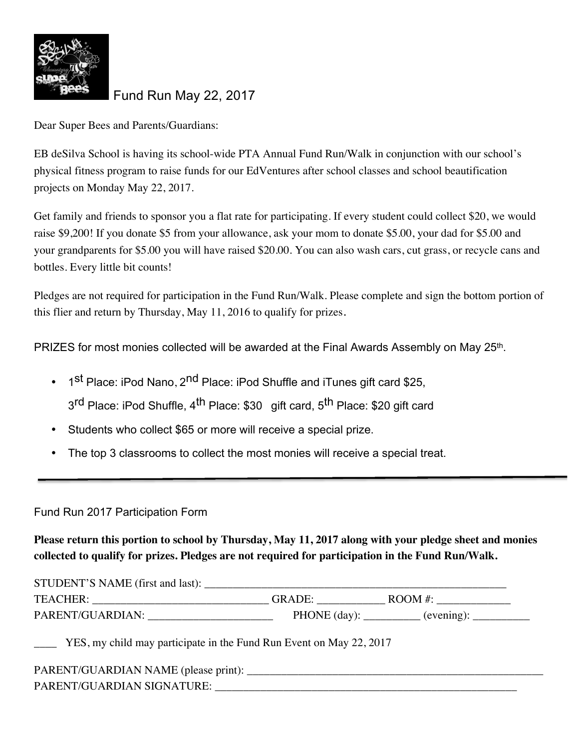

Fund Run May 22, 2017

Dear Super Bees and Parents/Guardians:

EB deSilva School is having its school-wide PTA Annual Fund Run/Walk in conjunction with our school's physical fitness program to raise funds for our EdVentures after school classes and school beautification projects on Monday May 22, 2017.

Get family and friends to sponsor you a flat rate for participating. If every student could collect \$20, we would raise \$9,200! If you donate \$5 from your allowance, ask your mom to donate \$5.00, your dad for \$5.00 and your grandparents for \$5.00 you will have raised \$20.00. You can also wash cars, cut grass, or recycle cans and bottles. Every little bit counts!

Pledges are not required for participation in the Fund Run/Walk. Please complete and sign the bottom portion of this flier and return by Thursday, May 11, 2016 to qualify for prizes.

PRIZES for most monies collected will be awarded at the Final Awards Assembly on May 25th.

- 1<sup>st</sup> Place: iPod Nano, 2<sup>nd</sup> Place: iPod Shuffle and iTunes gift card \$25, 3<sup>rd</sup> Place: iPod Shuffle, 4<sup>th</sup> Place: \$30 gift card, 5<sup>th</sup> Place: \$20 gift card
- Students who collect \$65 or more will receive a special prize.
- The top 3 classrooms to collect the most monies will receive a special treat.

## Fund Run 2017 Participation Form

**Please return this portion to school by Thursday, May 11, 2017 along with your pledge sheet and monies collected to qualify for prizes. Pledges are not required for participation in the Fund Run/Walk.** 

| STUDENT'S NAME (first and last): |                        |                   |
|----------------------------------|------------------------|-------------------|
| <b>TEACHER:</b>                  | <b>GRADE:</b>          | $\text{ROOM }#$ : |
| PARENT/GUARDIAN:                 | PHONE $\text{(day)}$ : | (evening):        |

YES, my child may participate in the Fund Run Event on May 22, 2017

| PARENT/GUARDIAN NAME (please print): |  |
|--------------------------------------|--|
| PARENT/GUARDIAN SIGNATURE:           |  |